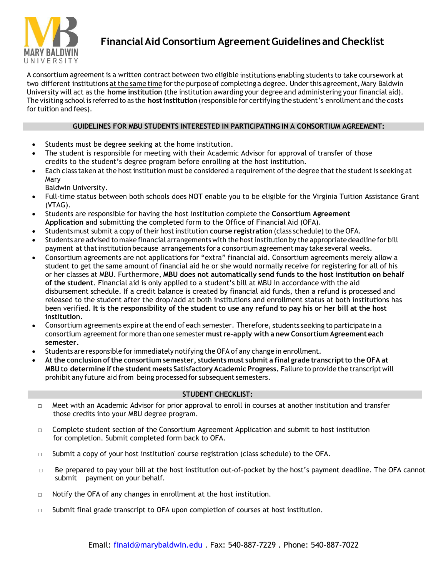

## **FinancialAid Consortium AgreementGuidelines and Checklist**

A consortium agreement is a written contract between two eligible institutions enabling students to take coursework at two different institutions at the same time for the purpose of completing a degree. Under this agreement, Mary Baldwin University will act as the **home institution** (the institution awarding your degree and administering your financial aid). The visiting school is referred to as the **hostinstitution** (responsible for certifying the student's enrollment and the costs for tuition and fees).

## **GUIDELINES FOR MBU STUDENTS INTERESTED IN PARTICIPATING IN A CONSORTIUM AGREEMENT:**

- Students must be degree seeking at the home institution.
- The student is responsible for meeting with their Academic Advisor for approval of transfer of those credits to the student's degree program before enrolling at the host institution.
- Each class taken at the host institution must be considered a requirement of the degree that the student is seeking at Mary
	- Baldwin University.
- Full-time status between both schools does NOT enable you to be eligible for the Virginia Tuition Assistance Grant (VTAG).
- Students are responsible for having the host institution complete the **Consortium Agreement Application** and submitting the completed form to the Office of Financial Aid (OFA).
- **Students must submit a copy of their host institution <b>course registration** (class schedule) to the OFA.
- Students are advised to make financial arrangements with the hostinstitution by the appropriate deadline for bill payment at that institution because arrangements for a consortium agreement may take several weeks.
- Consortium agreements are not applications for "extra" financial aid. Consortium agreements merely allow a student to get the same amount of financial aid he or she would normally receive for registering for all of his or her classes at MBU. Furthermore, **MBU does not automatically send funds to the host institution on behalf of the student**. Financial aid is only applied to a student's bill at MBU in accordance with the aid disbursement schedule. If a credit balance is created by financial aid funds, then a refund is processed and released to the student after the drop/add at both institutions and enrollment status at both institutions has been verified. It is the responsibility of the student to use any refund to pay his or her bill at the host **institution**.
- Consortium agreements expire at the end of each semester. Therefore, students seeking to participate in a consortium agreement for more than one semester **must re-apply with a new Consortium Agreement each semester.**
- Students are responsible forimmediately notifying the OFA of any change in enrollment.
- **At the conclusion of the consortium semester, students must submit a final grade transcriptto the OFA at MBU to determine if the student meets Satisfactory Academic Progress.** Failure to provide the transcript will prohibit any future aid from being processed for subsequent semesters.

## **STUDENT CHECKLIST:**

- □ Meet with an Academic Advisor for prior approval to enroll in courses at another institution and transfer those credits into your MBU degree program.
- □ Complete student section of the Consortium Agreement Application and submit to host institution for completion. Submit completed form back to OFA.
- $\Box$  Submit a copy of your host institution' course registration (class schedule) to the OFA.
- $\Box$  Be prepared to pay your bill at the host institution out-of-pocket by the host's payment deadline. The OFA cannot submit payment on your behalf.
- □ Notify the OFA of any changes in enrollment at the host institution.
- $\Box$  Submit final grade transcript to OFA upon completion of courses at host institution.